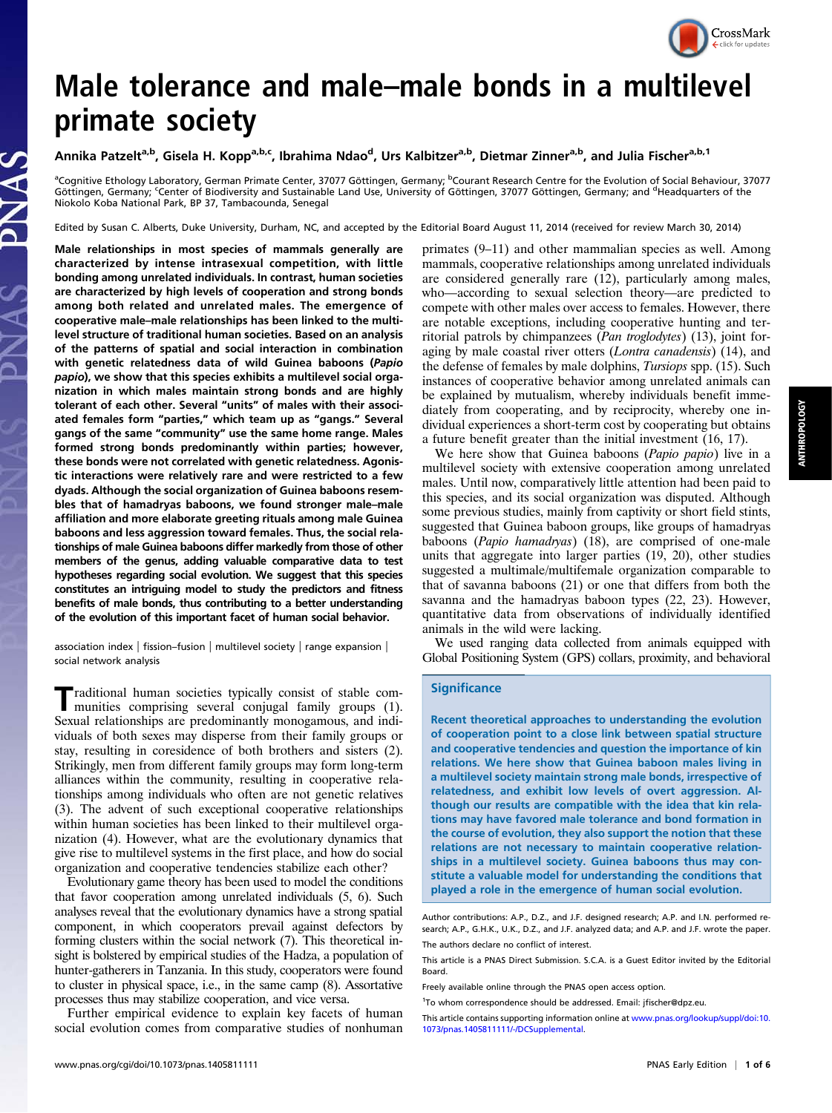

# Male tolerance and male–male bonds in a multilevel primate society

# Annika Patzelt<sup>a,b</sup>, Gisela H. Kopp<sup>a,b,c</sup>, Ibrahima Ndao<sup>d</sup>, Urs Kalbitzer<sup>a,b</sup>, Dietmar Zinner<sup>a,b</sup>, and Julia Fischer<sup>a,b, 1</sup>

<sup>a</sup>Cognitive Ethology Laboratory, German Primate Center, 37077 Göttingen, Germany; <sup>b</sup>Courant Research Centre for the Evolution of Social Behaviour, 37077 Göttingen, Germany; <sup>c</sup>Center of Biodiversity and Sustainable Land Use, University of Göttingen, 37077 Göttingen, Germany; and <sup>d</sup>Headquarters of the Niokolo Koba National Park, BP 37, Tambacounda, Senegal

Edited by Susan C. Alberts, Duke University, Durham, NC, and accepted by the Editorial Board August 11, 2014 (received for review March 30, 2014)

Male relationships in most species of mammals generally are characterized by intense intrasexual competition, with little bonding among unrelated individuals. In contrast, human societies are characterized by high levels of cooperation and strong bonds among both related and unrelated males. The emergence of cooperative male–male relationships has been linked to the multilevel structure of traditional human societies. Based on an analysis of the patterns of spatial and social interaction in combination with genetic relatedness data of wild Guinea baboons (Papio papio), we show that this species exhibits a multilevel social organization in which males maintain strong bonds and are highly tolerant of each other. Several "units" of males with their associated females form "parties," which team up as "gangs." Several gangs of the same "community" use the same home range. Males formed strong bonds predominantly within parties; however, these bonds were not correlated with genetic relatedness. Agonistic interactions were relatively rare and were restricted to a few dyads. Although the social organization of Guinea baboons resembles that of hamadryas baboons, we found stronger male–male affiliation and more elaborate greeting rituals among male Guinea baboons and less aggression toward females. Thus, the social relationships of male Guinea baboons differ markedly from those of other members of the genus, adding valuable comparative data to test hypotheses regarding social evolution. We suggest that this species constitutes an intriguing model to study the predictors and fitness benefits of male bonds, thus contributing to a better understanding of the evolution of this important facet of human social behavior.

association index | fission–fusion | multilevel society | range expansion | social network analysis

Traditional human societies typically consist of stable com-munities comprising several conjugal family groups (1). Sexual relationships are predominantly monogamous, and individuals of both sexes may disperse from their family groups or stay, resulting in coresidence of both brothers and sisters (2). Strikingly, men from different family groups may form long-term alliances within the community, resulting in cooperative relationships among individuals who often are not genetic relatives (3). The advent of such exceptional cooperative relationships within human societies has been linked to their multilevel organization (4). However, what are the evolutionary dynamics that give rise to multilevel systems in the first place, and how do social organization and cooperative tendencies stabilize each other?

Evolutionary game theory has been used to model the conditions that favor cooperation among unrelated individuals (5, 6). Such analyses reveal that the evolutionary dynamics have a strong spatial component, in which cooperators prevail against defectors by forming clusters within the social network (7). This theoretical insight is bolstered by empirical studies of the Hadza, a population of hunter-gatherers in Tanzania. In this study, cooperators were found to cluster in physical space, i.e., in the same camp (8). Assortative processes thus may stabilize cooperation, and vice versa.

Further empirical evidence to explain key facets of human social evolution comes from comparative studies of nonhuman

primates (9–11) and other mammalian species as well. Among mammals, cooperative relationships among unrelated individuals are considered generally rare (12), particularly among males, who—according to sexual selection theory—are predicted to compete with other males over access to females. However, there are notable exceptions, including cooperative hunting and territorial patrols by chimpanzees (Pan troglodytes) (13), joint foraging by male coastal river otters (Lontra canadensis) (14), and the defense of females by male dolphins, Tursiops spp. (15). Such instances of cooperative behavior among unrelated animals can be explained by mutualism, whereby individuals benefit immediately from cooperating, and by reciprocity, whereby one individual experiences a short-term cost by cooperating but obtains a future benefit greater than the initial investment (16, 17).

We here show that Guinea baboons (Papio papio) live in a multilevel society with extensive cooperation among unrelated males. Until now, comparatively little attention had been paid to this species, and its social organization was disputed. Although some previous studies, mainly from captivity or short field stints, suggested that Guinea baboon groups, like groups of hamadryas baboons (Papio hamadryas) (18), are comprised of one-male units that aggregate into larger parties (19, 20), other studies suggested a multimale/multifemale organization comparable to that of savanna baboons (21) or one that differs from both the savanna and the hamadryas baboon types (22, 23). However, quantitative data from observations of individually identified animals in the wild were lacking.

We used ranging data collected from animals equipped with Global Positioning System (GPS) collars, proximity, and behavioral

#### **Significance**

Recent theoretical approaches to understanding the evolution of cooperation point to a close link between spatial structure and cooperative tendencies and question the importance of kin relations. We here show that Guinea baboon males living in a multilevel society maintain strong male bonds, irrespective of relatedness, and exhibit low levels of overt aggression. Although our results are compatible with the idea that kin relations may have favored male tolerance and bond formation in the course of evolution, they also support the notion that these relations are not necessary to maintain cooperative relationships in a multilevel society. Guinea baboons thus may constitute a valuable model for understanding the conditions that played a role in the emergence of human social evolution.

Author contributions: A.P., D.Z., and J.F. designed research; A.P. and I.N. performed research; A.P., G.H.K., U.K., D.Z., and J.F. analyzed data; and A.P. and J.F. wrote the paper. The authors declare no conflict of interest.

Freely available online through the PNAS open access option.

This article is a PNAS Direct Submission. S.C.A. is a Guest Editor invited by the Editorial Board.

<sup>&</sup>lt;sup>1</sup>To whom correspondence should be addressed. Email: [jfischer@dpz.eu](mailto:jfischer@dpz.eu).

This article contains supporting information online at [www.pnas.org/lookup/suppl/doi:10.](http://www.pnas.org/lookup/suppl/doi:10.1073/pnas.1405811111/-/DCSupplemental) [1073/pnas.1405811111/-/DCSupplemental](http://www.pnas.org/lookup/suppl/doi:10.1073/pnas.1405811111/-/DCSupplemental).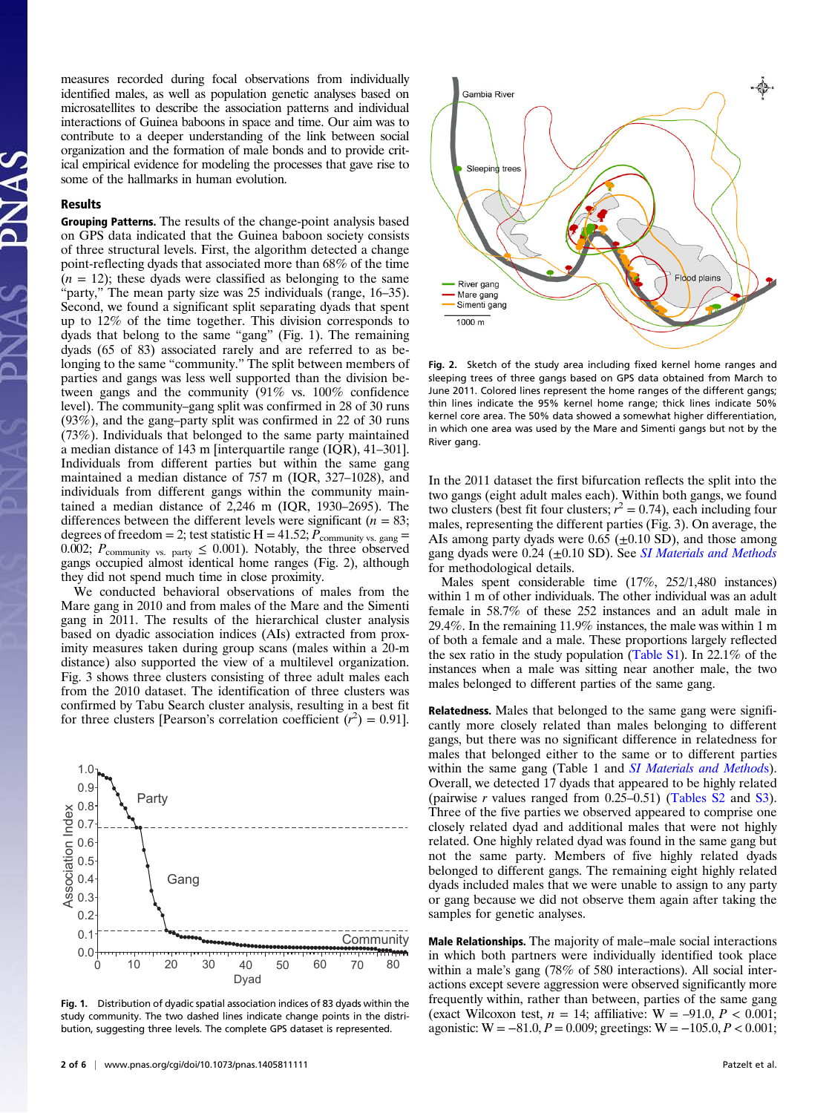measures recorded during focal observations from individually identified males, as well as population genetic analyses based on microsatellites to describe the association patterns and individual interactions of Guinea baboons in space and time. Our aim was to contribute to a deeper understanding of the link between social organization and the formation of male bonds and to provide critical empirical evidence for modeling the processes that gave rise to some of the hallmarks in human evolution.

## Results

Grouping Patterns. The results of the change-point analysis based on GPS data indicated that the Guinea baboon society consists of three structural levels. First, the algorithm detected a change point-reflecting dyads that associated more than 68% of the time  $(n = 12)$ ; these dyads were classified as belonging to the same "party," The mean party size was 25 individuals (range, 16–35). Second, we found a significant split separating dyads that spent up to 12% of the time together. This division corresponds to dyads that belong to the same "gang" (Fig. 1). The remaining dyads (65 of 83) associated rarely and are referred to as belonging to the same "community." The split between members of parties and gangs was less well supported than the division between gangs and the community (91% vs. 100% confidence level). The community–gang split was confirmed in 28 of 30 runs (93%), and the gang–party split was confirmed in 22 of 30 runs (73%). Individuals that belonged to the same party maintained a median distance of 143 m [interquartile range (IQR), 41–301]. Individuals from different parties but within the same gang maintained a median distance of 757 m (IQR, 327–1028), and individuals from different gangs within the community maintained a median distance of 2,246 m (IQR, 1930–2695). The differences between the different levels were significant ( $n = 83$ ; degrees of freedom = 2; test statistic H = 41.52;  $P_{\text{community vs. gang}} =$ 0.002;  $P_{\text{community vs. party}} \leq 0.001$ ). Notably, the three observed gangs occupied almost identical home ranges (Fig. 2), although they did not spend much time in close proximity.

We conducted behavioral observations of males from the Mare gang in 2010 and from males of the Mare and the Simenti gang in 2011. The results of the hierarchical cluster analysis based on dyadic association indices (AIs) extracted from proximity measures taken during group scans (males within a 20-m distance) also supported the view of a multilevel organization. Fig. 3 shows three clusters consisting of three adult males each from the 2010 dataset. The identification of three clusters was confirmed by Tabu Search cluster analysis, resulting in a best fit for three clusters [Pearson's correlation coefficient  $(r^2) = 0.91$ ].



Fig. 1. Distribution of dyadic spatial association indices of 83 dyads within the study community. The two dashed lines indicate change points in the distribution, suggesting three levels. The complete GPS dataset is represented.



Fig. 2. Sketch of the study area including fixed kernel home ranges and sleeping trees of three gangs based on GPS data obtained from March to June 2011. Colored lines represent the home ranges of the different gangs; thin lines indicate the 95% kernel home range; thick lines indicate 50% kernel core area. The 50% data showed a somewhat higher differentiation, in which one area was used by the Mare and Simenti gangs but not by the River gang.

In the 2011 dataset the first bifurcation reflects the split into the two gangs (eight adult males each). Within both gangs, we found two clusters (best fit four clusters;  $r^2 = 0.74$ ), each including four males, representing the different parties (Fig. 3). On average, the AIs among party dyads were  $0.65$  ( $\pm 0.10$  SD), and those among gang dyads were  $0.24$  ( $\pm 0.10$  SD). See [SI Materials and Methods](http://www.pnas.org/lookup/suppl/doi:10.1073/pnas.1405811111/-/DCSupplemental/pnas.201405811SI.pdf?targetid=nameddest=STXT) for methodological details.

Males spent considerable time (17%, 252/1,480 instances) within 1 m of other individuals. The other individual was an adult female in 58.7% of these 252 instances and an adult male in 29.4%. In the remaining 11.9% instances, the male was within 1 m of both a female and a male. These proportions largely reflected the sex ratio in the study population ([Table S1](http://www.pnas.org/lookup/suppl/doi:10.1073/pnas.1405811111/-/DCSupplemental/pnas.201405811SI.pdf?targetid=nameddest=ST1)). In 22.1% of the instances when a male was sitting near another male, the two males belonged to different parties of the same gang.

Relatedness. Males that belonged to the same gang were significantly more closely related than males belonging to different gangs, but there was no significant difference in relatedness for males that belonged either to the same or to different parties within the same gang (Table 1 and [SI Materials and Method](http://www.pnas.org/lookup/suppl/doi:10.1073/pnas.1405811111/-/DCSupplemental/pnas.201405811SI.pdf?targetid=nameddest=STXT)s). Overall, we detected 17 dyads that appeared to be highly related (pairwise r values ranged from 0.25–0.51) ([Tables S2](http://www.pnas.org/lookup/suppl/doi:10.1073/pnas.1405811111/-/DCSupplemental/pnas.201405811SI.pdf?targetid=nameddest=ST2) and [S3\)](http://www.pnas.org/lookup/suppl/doi:10.1073/pnas.1405811111/-/DCSupplemental/pnas.201405811SI.pdf?targetid=nameddest=ST3). Three of the five parties we observed appeared to comprise one closely related dyad and additional males that were not highly related. One highly related dyad was found in the same gang but not the same party. Members of five highly related dyads belonged to different gangs. The remaining eight highly related dyads included males that we were unable to assign to any party or gang because we did not observe them again after taking the samples for genetic analyses.

Male Relationships. The majority of male–male social interactions in which both partners were individually identified took place within a male's gang (78% of 580 interactions). All social interactions except severe aggression were observed significantly more frequently within, rather than between, parties of the same gang (exact Wilcoxon test,  $n = 14$ ; affiliative:  $W = -91.0$ ,  $P < 0.001$ ; agonistic:  $W = -81.0, P = 0.009$ ; greetings:  $W = -105.0, P < 0.001$ ;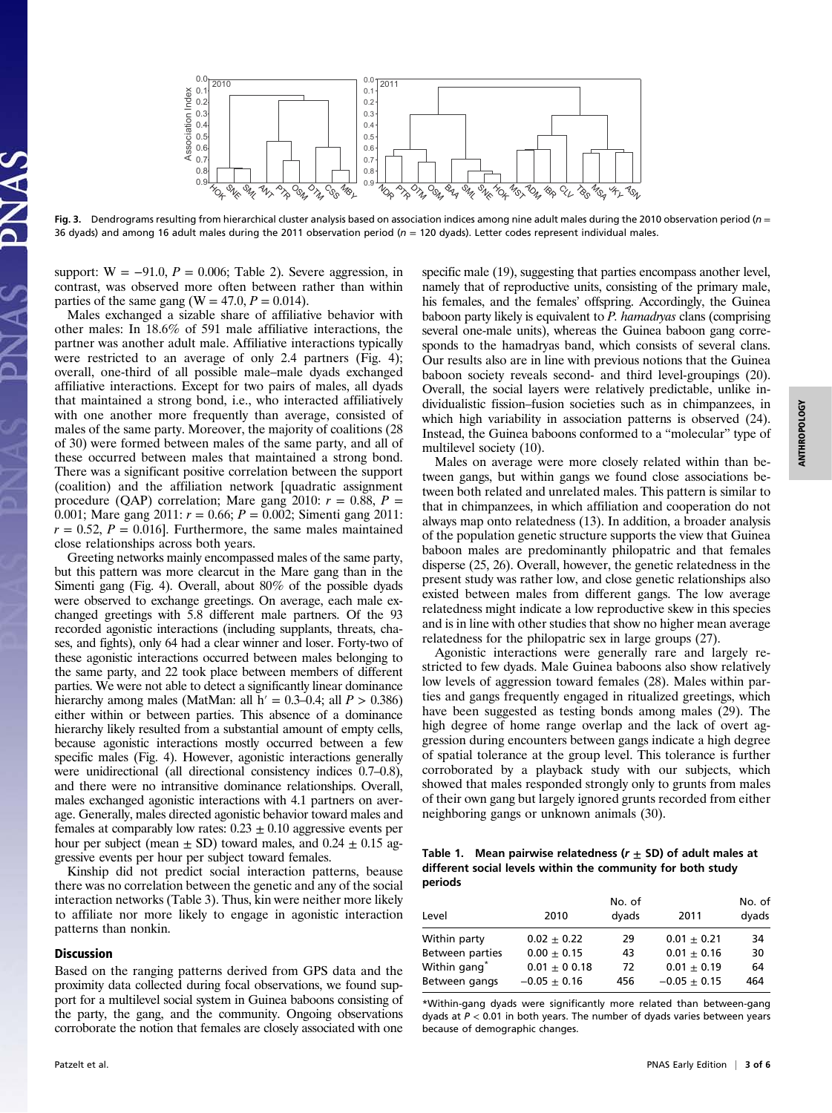

Fig. 3. Dendrograms resulting from hierarchical cluster analysis based on association indices among nine adult males during the 2010 observation period ( $n =$ 36 dyads) and among 16 adult males during the 2011 observation period ( $n = 120$  dyads). Letter codes represent individual males.

support:  $W = -91.0$ ,  $P = 0.006$ ; Table 2). Severe aggression, in contrast, was observed more often between rather than within parties of the same gang (W =  $47.0, P = 0.014$ ).

Males exchanged a sizable share of affiliative behavior with other males: In 18.6% of 591 male affiliative interactions, the partner was another adult male. Affiliative interactions typically were restricted to an average of only 2.4 partners (Fig. 4); overall, one-third of all possible male–male dyads exchanged affiliative interactions. Except for two pairs of males, all dyads that maintained a strong bond, i.e., who interacted affiliatively with one another more frequently than average, consisted of males of the same party. Moreover, the majority of coalitions (28 of 30) were formed between males of the same party, and all of these occurred between males that maintained a strong bond. There was a significant positive correlation between the support (coalition) and the affiliation network [quadratic assignment procedure (QAP) correlation; Mare gang 2010:  $r = 0.88$ ,  $P =$ 0.001; Mare gang 2011:  $r = 0.66$ ;  $P = 0.002$ ; Simenti gang 2011:  $r = 0.52$ ,  $P = 0.016$ . Furthermore, the same males maintained close relationships across both years.

Greeting networks mainly encompassed males of the same party, but this pattern was more clearcut in the Mare gang than in the Simenti gang (Fig. 4). Overall, about 80% of the possible dyads were observed to exchange greetings. On average, each male exchanged greetings with 5.8 different male partners. Of the 93 recorded agonistic interactions (including supplants, threats, chases, and fights), only 64 had a clear winner and loser. Forty-two of these agonistic interactions occurred between males belonging to the same party, and 22 took place between members of different parties. We were not able to detect a significantly linear dominance hierarchy among males (MatMan: all  $h' = 0.3{\text -}0.4$ ; all  $P > 0.386$ ) either within or between parties. This absence of a dominance hierarchy likely resulted from a substantial amount of empty cells, because agonistic interactions mostly occurred between a few specific males (Fig. 4). However, agonistic interactions generally were unidirectional (all directional consistency indices 0.7–0.8), and there were no intransitive dominance relationships. Overall, males exchanged agonistic interactions with 4.1 partners on average. Generally, males directed agonistic behavior toward males and females at comparably low rates:  $0.23 \pm 0.10$  aggressive events per hour per subject (mean  $\pm$  SD) toward males, and 0.24  $\pm$  0.15 aggressive events per hour per subject toward females.

Kinship did not predict social interaction patterns, beause there was no correlation between the genetic and any of the social interaction networks (Table 3). Thus, kin were neither more likely to affiliate nor more likely to engage in agonistic interaction patterns than nonkin.

#### **Discussion**

Based on the ranging patterns derived from GPS data and the proximity data collected during focal observations, we found support for a multilevel social system in Guinea baboons consisting of the party, the gang, and the community. Ongoing observations corroborate the notion that females are closely associated with one specific male (19), suggesting that parties encompass another level, namely that of reproductive units, consisting of the primary male, his females, and the females' offspring. Accordingly, the Guinea baboon party likely is equivalent to  $P$ . hamadryas clans (comprising several one-male units), whereas the Guinea baboon gang corresponds to the hamadryas band, which consists of several clans. Our results also are in line with previous notions that the Guinea baboon society reveals second- and third level-groupings (20). Overall, the social layers were relatively predictable, unlike individualistic fission–fusion societies such as in chimpanzees, in which high variability in association patterns is observed (24). Instead, the Guinea baboons conformed to a "molecular" type of multilevel society (10).

Males on average were more closely related within than between gangs, but within gangs we found close associations between both related and unrelated males. This pattern is similar to that in chimpanzees, in which affiliation and cooperation do not always map onto relatedness (13). In addition, a broader analysis of the population genetic structure supports the view that Guinea baboon males are predominantly philopatric and that females disperse (25, 26). Overall, however, the genetic relatedness in the present study was rather low, and close genetic relationships also existed between males from different gangs. The low average relatedness might indicate a low reproductive skew in this species and is in line with other studies that show no higher mean average relatedness for the philopatric sex in large groups (27).

Agonistic interactions were generally rare and largely restricted to few dyads. Male Guinea baboons also show relatively low levels of aggression toward females (28). Males within parties and gangs frequently engaged in ritualized greetings, which have been suggested as testing bonds among males (29). The high degree of home range overlap and the lack of overt aggression during encounters between gangs indicate a high degree of spatial tolerance at the group level. This tolerance is further corroborated by a playback study with our subjects, which showed that males responded strongly only to grunts from males of their own gang but largely ignored grunts recorded from either neighboring gangs or unknown animals (30).

Table 1. Mean pairwise relatedness ( $r \pm SD$ ) of adult males at different social levels within the community for both study periods

| Level                    | 2010             | No. of<br>dyads | 2011           | No. of<br>dyads |  |
|--------------------------|------------------|-----------------|----------------|-----------------|--|
| Within party             | $0.02 + 0.22$    | 29              | $0.01 + 0.21$  | 34              |  |
| Between parties          | $0.00 + 0.15$    | 43              | $0.01 + 0.16$  | 30              |  |
| Within gang <sup>*</sup> | $0.01 \pm 0.018$ | 72              | $0.01 + 0.19$  | 64              |  |
| Between gangs            | $-0.05 \pm 0.16$ | 456             | $-0.05 + 0.15$ | 464             |  |

\*Within-gang dyads were significantly more related than between-gang dyads at  $P < 0.01$  in both years. The number of dyads varies between years because of demographic changes.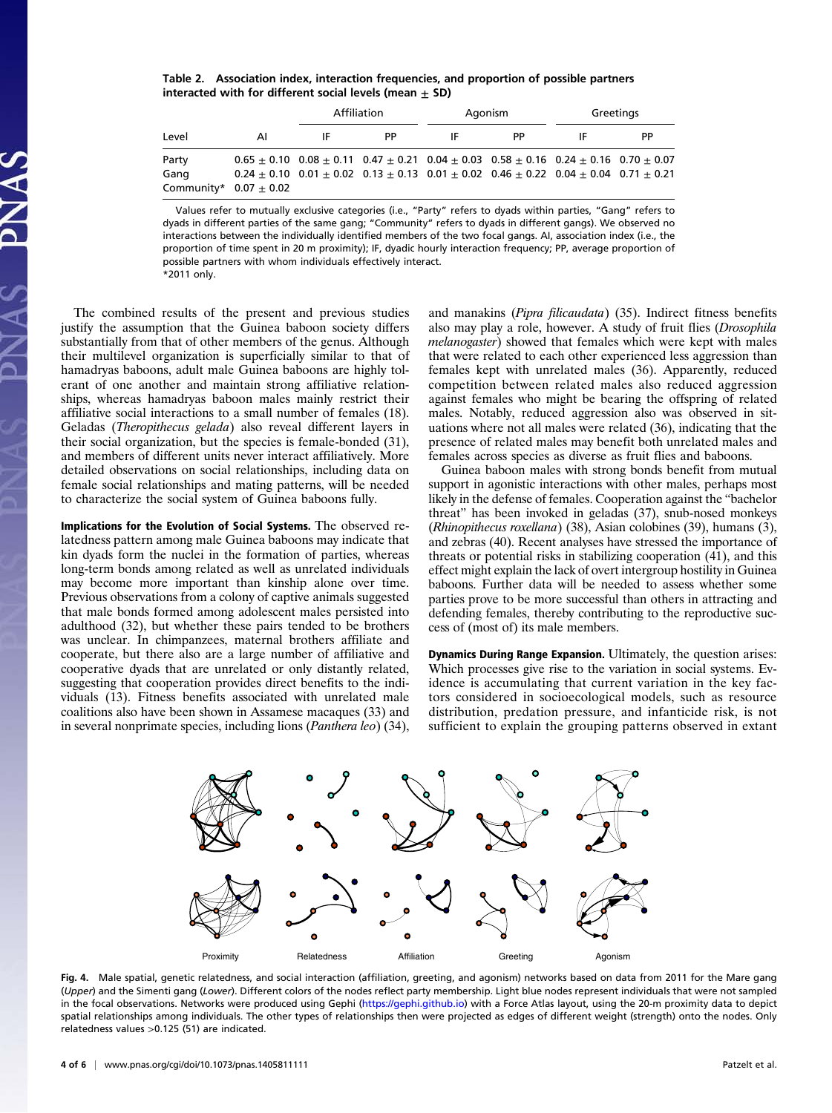Table 2. Association index, interaction frequencies, and proportion of possible partners interacted with for different social levels (mean  $\pm$  SD)

| Level                      |    | Affiliation |    | Agonism |                                                                                                                 | Greetings |     |
|----------------------------|----|-------------|----|---------|-----------------------------------------------------------------------------------------------------------------|-----------|-----|
|                            | AI |             | PP | ΙF      | PP                                                                                                              | IF        | PP. |
| Party                      |    |             |    |         | $0.65 \pm 0.10$ $0.08 \pm 0.11$ $0.47 \pm 0.21$ $0.04 \pm 0.03$ $0.58 \pm 0.16$ $0.24 \pm 0.16$ $0.70 \pm 0.07$ |           |     |
| Gang                       |    |             |    |         | $0.24 \pm 0.10$ $0.01 \pm 0.02$ $0.13 \pm 0.13$ $0.01 \pm 0.02$ $0.46 \pm 0.22$ $0.04 \pm 0.04$ $0.71 \pm 0.21$ |           |     |
| Community* $0.07 \pm 0.02$ |    |             |    |         |                                                                                                                 |           |     |

Values refer to mutually exclusive categories (i.e., "Party" refers to dyads within parties, "Gang" refers to dyads in different parties of the same gang; "Community" refers to dyads in different gangs). We observed no interactions between the individually identified members of the two focal gangs. AI, association index (i.e., the proportion of time spent in 20 m proximity); IF, dyadic hourly interaction frequency; PP, average proportion of possible partners with whom individuals effectively interact. \*2011 only.

The combined results of the present and previous studies justify the assumption that the Guinea baboon society differs substantially from that of other members of the genus. Although their multilevel organization is superficially similar to that of hamadryas baboons, adult male Guinea baboons are highly tolerant of one another and maintain strong affiliative relationships, whereas hamadryas baboon males mainly restrict their affiliative social interactions to a small number of females (18). Geladas (Theropithecus gelada) also reveal different layers in their social organization, but the species is female-bonded (31), and members of different units never interact affiliatively. More detailed observations on social relationships, including data on female social relationships and mating patterns, will be needed to characterize the social system of Guinea baboons fully.

Implications for the Evolution of Social Systems. The observed relatedness pattern among male Guinea baboons may indicate that kin dyads form the nuclei in the formation of parties, whereas long-term bonds among related as well as unrelated individuals may become more important than kinship alone over time. Previous observations from a colony of captive animals suggested that male bonds formed among adolescent males persisted into adulthood (32), but whether these pairs tended to be brothers was unclear. In chimpanzees, maternal brothers affiliate and cooperate, but there also are a large number of affiliative and cooperative dyads that are unrelated or only distantly related, suggesting that cooperation provides direct benefits to the individuals (13). Fitness benefits associated with unrelated male coalitions also have been shown in Assamese macaques (33) and in several nonprimate species, including lions (Panthera leo) (34),

and manakins (Pipra filicaudata) (35). Indirect fitness benefits also may play a role, however. A study of fruit flies (Drosophila melanogaster) showed that females which were kept with males that were related to each other experienced less aggression than females kept with unrelated males (36). Apparently, reduced competition between related males also reduced aggression against females who might be bearing the offspring of related males. Notably, reduced aggression also was observed in situations where not all males were related (36), indicating that the presence of related males may benefit both unrelated males and females across species as diverse as fruit flies and baboons.

Guinea baboon males with strong bonds benefit from mutual support in agonistic interactions with other males, perhaps most likely in the defense of females. Cooperation against the "bachelor threat" has been invoked in geladas (37), snub-nosed monkeys (Rhinopithecus roxellana) (38), Asian colobines (39), humans (3), and zebras (40). Recent analyses have stressed the importance of threats or potential risks in stabilizing cooperation (41), and this effect might explain the lack of overt intergroup hostility in Guinea baboons. Further data will be needed to assess whether some parties prove to be more successful than others in attracting and defending females, thereby contributing to the reproductive success of (most of) its male members.

Dynamics During Range Expansion. Ultimately, the question arises: Which processes give rise to the variation in social systems. Evidence is accumulating that current variation in the key factors considered in socioecological models, such as resource distribution, predation pressure, and infanticide risk, is not sufficient to explain the grouping patterns observed in extant



Fig. 4. Male spatial, genetic relatedness, and social interaction (affiliation, greeting, and agonism) networks based on data from 2011 for the Mare gang (Upper) and the Simenti gang (Lower). Different colors of the nodes reflect party membership. Light blue nodes represent individuals that were not sampled in the focal observations. Networks were produced using Gephi ([https://gephi.github.io\)](https://gephi.github.io) with a Force Atlas layout, using the 20-m proximity data to depict spatial relationships among individuals. The other types of relationships then were projected as edges of different weight (strength) onto the nodes. Only relatedness values >0.125 (51) are indicated.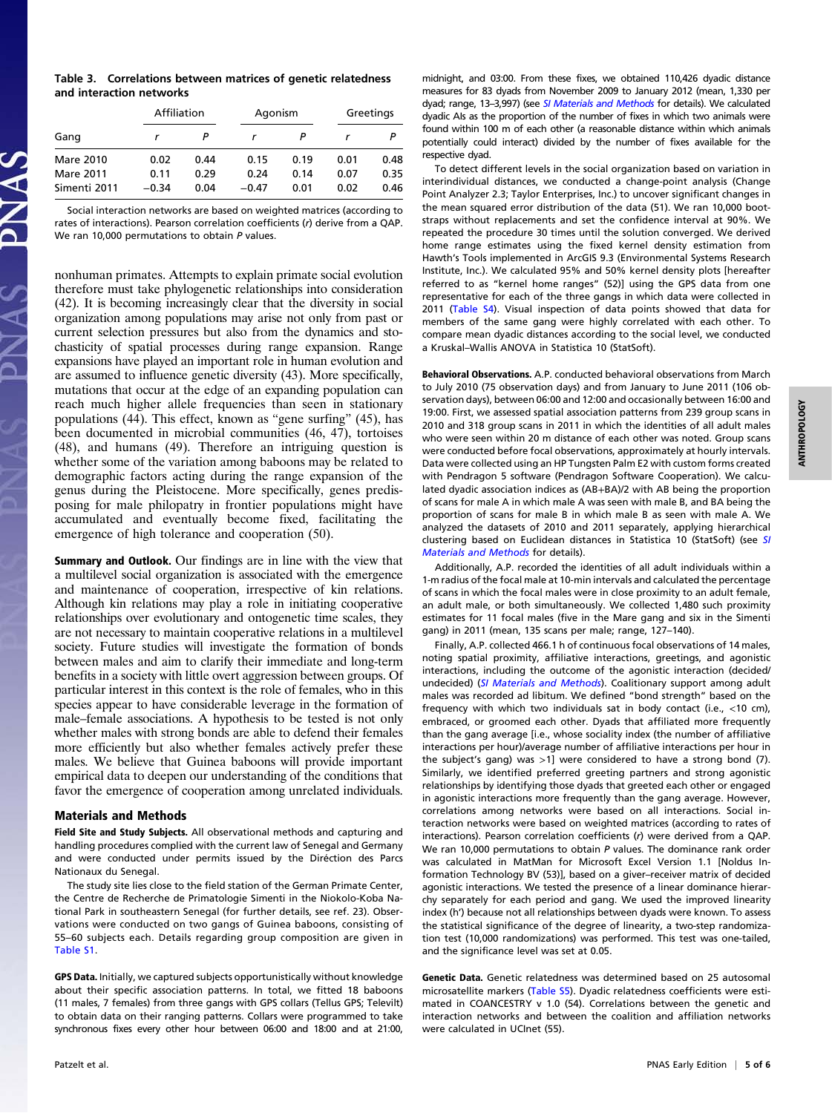| Table 3. Correlations between matrices of genetic relatedness |  |  |
|---------------------------------------------------------------|--|--|
| and interaction networks                                      |  |  |

|              | Affiliation |      | Agonism |      | Greetings |      |
|--------------|-------------|------|---------|------|-----------|------|
| Gang         |             |      |         |      |           |      |
| Mare 2010    | 0.02        | 0.44 | 0.15    | 0.19 | 0.01      | 0.48 |
| Mare 2011    | 0.11        | 0.29 | 0.24    | 0.14 | 0.07      | 0.35 |
| Simenti 2011 | $-0.34$     | 0.04 | $-0.47$ | 0.01 | 0.02      | 0.46 |

Social interaction networks are based on weighted matrices (according to rates of interactions). Pearson correlation coefficients (r) derive from a QAP. We ran 10,000 permutations to obtain P values.

nonhuman primates. Attempts to explain primate social evolution therefore must take phylogenetic relationships into consideration (42). It is becoming increasingly clear that the diversity in social organization among populations may arise not only from past or current selection pressures but also from the dynamics and stochasticity of spatial processes during range expansion. Range expansions have played an important role in human evolution and are assumed to influence genetic diversity (43). More specifically, mutations that occur at the edge of an expanding population can reach much higher allele frequencies than seen in stationary populations (44). This effect, known as "gene surfing" (45), has been documented in microbial communities (46, 47), tortoises (48), and humans (49). Therefore an intriguing question is whether some of the variation among baboons may be related to demographic factors acting during the range expansion of the genus during the Pleistocene. More specifically, genes predisposing for male philopatry in frontier populations might have accumulated and eventually become fixed, facilitating the emergence of high tolerance and cooperation (50).

Summary and Outlook. Our findings are in line with the view that a multilevel social organization is associated with the emergence and maintenance of cooperation, irrespective of kin relations. Although kin relations may play a role in initiating cooperative relationships over evolutionary and ontogenetic time scales, they are not necessary to maintain cooperative relations in a multilevel society. Future studies will investigate the formation of bonds between males and aim to clarify their immediate and long-term benefits in a society with little overt aggression between groups. Of particular interest in this context is the role of females, who in this species appear to have considerable leverage in the formation of male–female associations. A hypothesis to be tested is not only whether males with strong bonds are able to defend their females more efficiently but also whether females actively prefer these males. We believe that Guinea baboons will provide important empirical data to deepen our understanding of the conditions that favor the emergence of cooperation among unrelated individuals.

## Materials and Methods

Field Site and Study Subjects. All observational methods and capturing and handling procedures complied with the current law of Senegal and Germany and were conducted under permits issued by the Diréction des Parcs Nationaux du Senegal.

The study site lies close to the field station of the German Primate Center, the Centre de Recherche de Primatologie Simenti in the Niokolo-Koba National Park in southeastern Senegal (for further details, see ref. 23). Observations were conducted on two gangs of Guinea baboons, consisting of 55–60 subjects each. Details regarding group composition are given in [Table S1.](http://www.pnas.org/lookup/suppl/doi:10.1073/pnas.1405811111/-/DCSupplemental/pnas.201405811SI.pdf?targetid=nameddest=ST1)

GPS Data. Initially, we captured subjects opportunistically without knowledge about their specific association patterns. In total, we fitted 18 baboons (11 males, 7 females) from three gangs with GPS collars (Tellus GPS; Televilt) to obtain data on their ranging patterns. Collars were programmed to take synchronous fixes every other hour between 06:00 and 18:00 and at 21:00,

midnight, and 03:00. From these fixes, we obtained 110,426 dyadic distance measures for 83 dyads from November 2009 to January 2012 (mean, 1,330 per dyad; range, 13-3,997) (see [SI Materials and Methods](http://www.pnas.org/lookup/suppl/doi:10.1073/pnas.1405811111/-/DCSupplemental/pnas.201405811SI.pdf?targetid=nameddest=STXT) for details). We calculated dyadic AIs as the proportion of the number of fixes in which two animals were found within 100 m of each other (a reasonable distance within which animals potentially could interact) divided by the number of fixes available for the respective dyad.

To detect different levels in the social organization based on variation in interindividual distances, we conducted a change-point analysis (Change Point Analyzer 2.3; Taylor Enterprises, Inc.) to uncover significant changes in the mean squared error distribution of the data (51). We ran 10,000 bootstraps without replacements and set the confidence interval at 90%. We repeated the procedure 30 times until the solution converged. We derived home range estimates using the fixed kernel density estimation from Hawth's Tools implemented in ArcGIS 9.3 (Environmental Systems Research Institute, Inc.). We calculated 95% and 50% kernel density plots [hereafter referred to as "kernel home ranges" (52)] using the GPS data from one representative for each of the three gangs in which data were collected in 2011 [\(Table S4](http://www.pnas.org/lookup/suppl/doi:10.1073/pnas.1405811111/-/DCSupplemental/pnas.201405811SI.pdf?targetid=nameddest=ST4)). Visual inspection of data points showed that data for members of the same gang were highly correlated with each other. To compare mean dyadic distances according to the social level, we conducted a Kruskal–Wallis ANOVA in Statistica 10 (StatSoft).

Behavioral Observations. A.P. conducted behavioral observations from March to July 2010 (75 observation days) and from January to June 2011 (106 observation days), between 06:00 and 12:00 and occasionally between 16:00 and 19:00. First, we assessed spatial association patterns from 239 group scans in 2010 and 318 group scans in 2011 in which the identities of all adult males who were seen within 20 m distance of each other was noted. Group scans were conducted before focal observations, approximately at hourly intervals. Data were collected using an HP Tungsten Palm E2 with custom forms created with Pendragon 5 software (Pendragon Software Cooperation). We calculated dyadic association indices as (AB+BA)/2 with AB being the proportion of scans for male A in which male A was seen with male B, and BA being the proportion of scans for male B in which male B as seen with male A. We analyzed the datasets of 2010 and 2011 separately, applying hierarchical clustering based on Euclidean distances in Statistica 10 (StatSoft) (see [SI](http://www.pnas.org/lookup/suppl/doi:10.1073/pnas.1405811111/-/DCSupplemental/pnas.201405811SI.pdf?targetid=nameddest=STXT) [Materials and Methods](http://www.pnas.org/lookup/suppl/doi:10.1073/pnas.1405811111/-/DCSupplemental/pnas.201405811SI.pdf?targetid=nameddest=STXT) for details).

Additionally, A.P. recorded the identities of all adult individuals within a 1-m radius of the focal male at 10-min intervals and calculated the percentage of scans in which the focal males were in close proximity to an adult female, an adult male, or both simultaneously. We collected 1,480 such proximity estimates for 11 focal males (five in the Mare gang and six in the Simenti gang) in 2011 (mean, 135 scans per male; range, 127–140).

Finally, A.P. collected 466.1 h of continuous focal observations of 14 males, noting spatial proximity, affiliative interactions, greetings, and agonistic interactions, including the outcome of the agonistic interaction (decided/ undecided) ([SI Materials and Methods](http://www.pnas.org/lookup/suppl/doi:10.1073/pnas.1405811111/-/DCSupplemental/pnas.201405811SI.pdf?targetid=nameddest=STXT)). Coalitionary support among adult males was recorded ad libitum. We defined "bond strength" based on the frequency with which two individuals sat in body contact (i.e., <10 cm), embraced, or groomed each other. Dyads that affiliated more frequently than the gang average [i.e., whose sociality index (the number of affiliative interactions per hour)/average number of affiliative interactions per hour in the subject's gang) was >1] were considered to have a strong bond (7). Similarly, we identified preferred greeting partners and strong agonistic relationships by identifying those dyads that greeted each other or engaged in agonistic interactions more frequently than the gang average. However, correlations among networks were based on all interactions. Social interaction networks were based on weighted matrices (according to rates of interactions). Pearson correlation coefficients (r) were derived from a QAP. We ran 10,000 permutations to obtain P values. The dominance rank order was calculated in MatMan for Microsoft Excel Version 1.1 [Noldus Information Technology BV (53)], based on a giver–receiver matrix of decided agonistic interactions. We tested the presence of a linear dominance hierarchy separately for each period and gang. We used the improved linearity index (h') because not all relationships between dyads were known. To assess the statistical significance of the degree of linearity, a two-step randomization test (10,000 randomizations) was performed. This test was one-tailed, and the significance level was set at 0.05.

Genetic Data. Genetic relatedness was determined based on 25 autosomal microsatellite markers [\(Table S5\)](http://www.pnas.org/lookup/suppl/doi:10.1073/pnas.1405811111/-/DCSupplemental/pnas.201405811SI.pdf?targetid=nameddest=ST5). Dyadic relatedness coefficients were estimated in COANCESTRY v 1.0 (54). Correlations between the genetic and interaction networks and between the coalition and affiliation networks were calculated in UCInet (55).